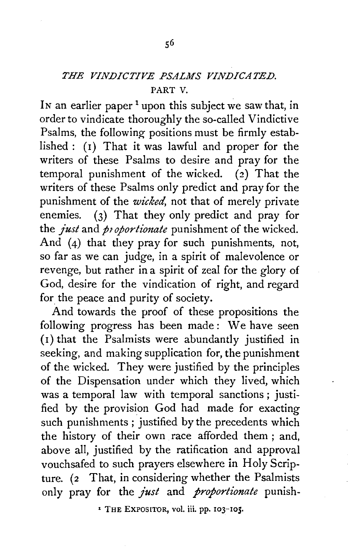## *THE VINDICTIVE PSALMS VINDICATED.*  PART V.

In an earlier paper<sup>1</sup> upon this subject we saw that, in order to vindicate thoroughly the so-called Vindictive Psalms, the following- positions must be firmly established : (I) That it was lawful and proper for the writers of these Psalms to desire and pray for the temporal punishment of the wicked.  $(2)$  That the writers of these Psalms only predict and pray for the punishment of the *wicked,* not that of merely private enemies. (3) That they only predict and pray for the *just* and *proportionate* punishment of the wicked. And (4) that they pray for such punishments, not, so far as we can judge, in a spirit of malevolence or revenge, but rather in a spirit of zeal for the glory of God, desire for the vindication of right, and regard for the peace and purity of society.

And towards the proof of these propositions the following progress has been made: We have seen (I) that the Psalmists were abundantly justified in seeking, and making supplication for, the punishment of the wicked. They were justified by the principles of the Dispensation under which they lived, which was a temporal law with temporal sanctions ; justified by the provision God had made for exacting such punishments ; justified by the precedents which the history of their own race afforded them ; and, above all, justified by the ratification and approval vouchsafed to such prayers elsewhere in Holy Scripture. (2 That, in considering whether the Psalmists only pray for the *just* and *proportionate* punish-

<sup>1</sup> THE EXPOSITOR, vol. iii. pp. 103-105.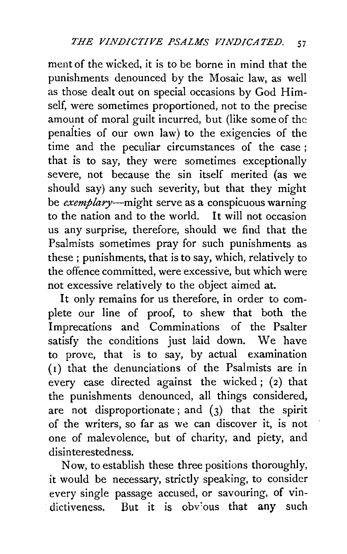ment of the wicked, it is to be borne in mind that the punishments denounced by the Mosaic law, as well as those dealt out on special occasions by God Himself, were sometimes proportioned, not to the precise amount of moral guilt incurred, but (like some of the penaities of our own law) to the exigencies of the time and the peculiar circumstances of the case ; that is to say, they were sometimes exceptionally severe, not because the sin itself merited (as we should say) any such severity, but that they might be exemplary—might serve as a conspicuous warning to the nation and to the world. It will not occasion us any surprise, therefore, should we find that the Psalmists sometimes pray for such punishments as these ; punishments, that is to say, which, relatively to the offence committed, were excessive, but which were not excessive relatively to the object aimed at.

It only remains for us therefore, in order to complete our line of proof, to shew that both the Imprecations and Comminations of the Psalter satisfy the conditions just laid down. We have to prove, that is to say, by actual examination (I) that the denunciations of the Psalmists are in every case directed against the wicked;  $(2)$  that the punishments denounced, all things considered, are not disproportionate; and  $(3)$  that the spirit of the writers, so far as we can discover it, is not one of malevolence, but of charity, and piety, and disinterestedness.

Now, to establish these three positions thoroughly, it would be necessary, strictly speaking, to consider every single passage accused, or savouring, of vindictiveness. But it is obvious that any such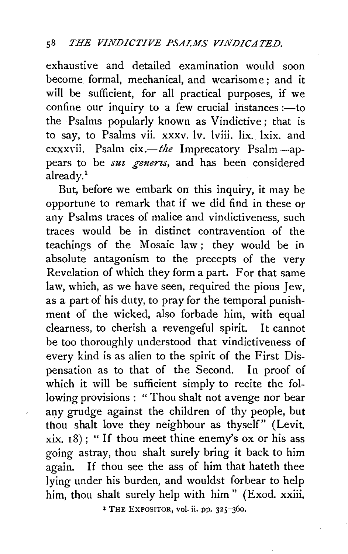exhaustive and detailed examination would soon become formal, mechanical, and wearisome; and it will be sufficient, for all practical purposes, if we confine our inquiry to a few crucial instances  $:=$  to the Psalms popularly known as Vindictive ; that is to say, to Psalms vii. xxxv. lv. lviii. lix. lxix. and cxxxYii. Psalm *cix.-the* Imprecatory Psalm-appears to be *suz genens,* and has been considered already.<sup>1</sup>

But, before we embark on this inquiry, it may be opportune to remark that if we did find in these or any Psalms traces of malice and vindictiveness, such traces would be in distinct contravention of the teachings of the Mosaic law; they would be in absolute antagonism to the precepts of the very Revelation of which they form a part. For that same law, which, as we have seen, required the pious Jew, as a part of his duty, to pray for the temporal punishment of the wicked, also forbade him, with equal clearness, to cherish a revengeful spirit. It cannot be too thoroughly understood that vindictiveness of every kind is as alien to the spirit of the First Dispensation as to that of the Second. In proof of which it will be sufficient simply to recite the following provisions : " Thou shalt not avenge nor bear any grudge against the children of thy people, but thou shalt love they neighbour as thyself" (Levit. xix. 18) ; " If thou meet thine enemy's ox or his ass going astray, thou shalt surely bring it back to him again. If thou see the ass of him that hateth thee lying under his burden, and wouldst forbear to help him, thou shalt surely help with him " (Exod. xxiii.

<sup>1</sup> THE EXPOSITOR, vol. ii. pp. 325-360.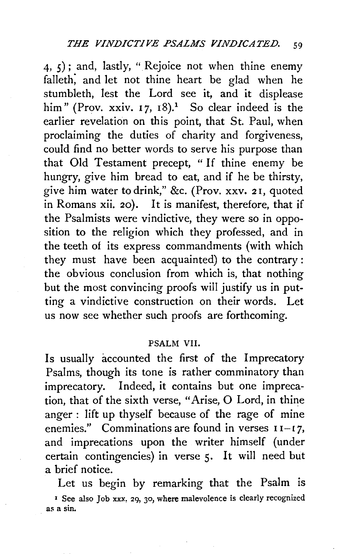$(4, 5)$ ; and, lastly, " Rejoice not when thine enemy falleth; and let not thine heart be glad when he stumbleth, lest the Lord see it, and it displease him" (Prov. xxiv. 17, 18).<sup>1</sup> So clear indeed is the earlier revelation on this point, that St. Paul, when proclaiming the duties of charity and forgiveness, could find no better words to serve his purpose than that Old Testament precept, "If thine enemy be hungry, give him bread to eat, and if he be thirsty, give him water to drink," &c. (Prov. xxv. 2 I, quoted in Romans xii. 20). It is manifest, therefore, that if the Psalmists were vindictive, they were so in opposition to the religion which they professed, and in the teeth of its express commandments (with which they must have been acquainted) to the contrary: the obvious conclusion from which is, that nothing but the most convincing proofs will justify us in putting a vindictive construction on their words. Let us now see whether such proofs are forthcoming.

## PSALM VII.

Is usually accounted the first of the Imprecatory Psalms, though its tone is rather comminatory than imprecatory. Indeed, it contains but one imprecation, that of the sixth verse, "Arise, 0 Lord, in thine anger : lift up thyself because of the rage of mine enemies." Comminations are found in verses  $I1-I7$ , and imprecations upon the writer himself (under certain contingencies) in verse 5. It will need but a brief notice.

Let us begin by remarking that the Psalm is <sup>1</sup> See also Job xxx, 29, 30, where malevolence is clearly recognized as a sin.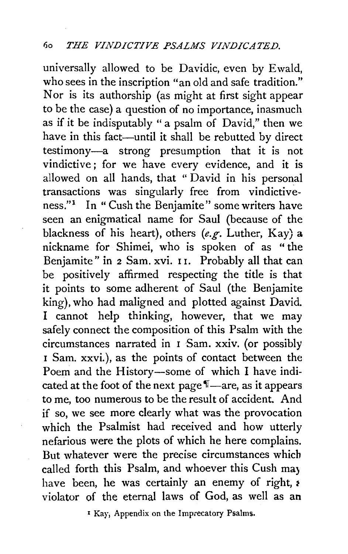universally allowed to be Davidic, even by Ewald, who sees in the inscription "an old and safe tradition." Nor is its authorship (as might at first sight appear to be the case) a question of no importance, inasmuch as if it be indisputably " a psalm of David," then we have in this fact—until it shall be rebutted by direct testimony-a strong presumption that it is not vindictive; for we have every evidence, and it is allowed on all hands, that " David in his personal transactions was singularly free from vindictiveness."1 In "Cush the Benjamite" some writers have seen an enigmatical name for Saul (because of the blackness of his heart), others *(e.g.* Luther, Kay) a nickname for Shimei, who is spoken of as " the Benjamite" in 2 Sam. xvi. II. Probably all that can be positively affirmed respecting the title is that it points to some adherent of Saul (the Benjamite king), who had maligned and plotted against David. I cannot help thinking, however, that we may safely connect the composition of this Psalm with the circumstances narrated in I Sam. xxiv. (or possibly 1 Sam. xxvi. ), as the points of contact between the Poem and the History-some of which I have indicated at the foot of the next page  $\mathbb{I}$ —are, as it appears to me, too numerous to be the result of accident. And if so, we see more clearly what was the provocation which the Psalmist had received and how utterly nefarious were the plots of which he here complains. But whatever were the precise circumstances which called forth this Psalm, and whoever this Cush may have been, he was certainly an enemy of right,  $\epsilon$ violator of the eternal laws of God, as well as an

x Kay, Appendix on the Imprecatory Psalms.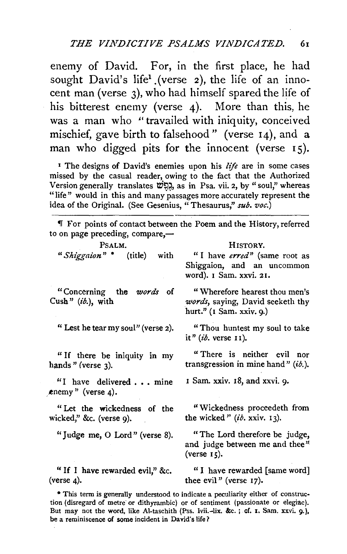enemy of David. For, in the first place, he had sought David's life<sup>1</sup> (verse 2), the life of an innocent man (verse 3), who had himself spared the life of his bitterest enemy (verse 4). More than this, he was a man who "travailed with iniquity, conceived mischief, gave birth to falsehood" (verse 14), and a man who digged pits for the innocent (verse  $15$ ).

<sup>1</sup> The designs of David's enemies upon his *life* are in some cases missed by the casual reader, owing to the fact that the Authorized Version generally translates WP,~, as in Psa. vii. 2, by" soul," whereas "life" would in this and many passages more accurately represent the idea of the Original. (See Gesenius, "Thesaurus," *sub. voc.)* 

<sup>~</sup>For points of contact between the Poem and the History, referred to on page preceding, compare. $-$ 

| PSALM.                                                                                                                                                                                                                                                                                                                                                                                                   | HISTORY.                                                                                      |
|----------------------------------------------------------------------------------------------------------------------------------------------------------------------------------------------------------------------------------------------------------------------------------------------------------------------------------------------------------------------------------------------------------|-----------------------------------------------------------------------------------------------|
| "Shiggaion" * (title) with                                                                                                                                                                                                                                                                                                                                                                               | "I have erred" (same root as<br>Shiggaion, and an uncommon<br>word). I Sam. xxvi. 21.         |
| "Concerning the <i>words</i> of<br>Cush" $(ib)$ , with                                                                                                                                                                                                                                                                                                                                                   | "Wherefore hearest thou men's<br>words, saying, David seeketh thy<br>hurt." (I Sam. xxiv. 9.) |
| "Lest he tear my soul" (verse 2).                                                                                                                                                                                                                                                                                                                                                                        | "Thou huntest my soul to take<br>it" $(ib$ , verse $11$ ).                                    |
| "If there be iniquity in my<br>hands " (verse 3).                                                                                                                                                                                                                                                                                                                                                        | "There is neither evil nor<br>transgression in mine hand" $(i\delta)$ .                       |
| "I have delivered mine<br>enemy" (verse 4).                                                                                                                                                                                                                                                                                                                                                              | I Sam. xxiv. 18, and xxvi. 9.                                                                 |
| "Let the wickedness of the<br>wicked," &c. (verse 9).                                                                                                                                                                                                                                                                                                                                                    | "Wickedness proceedeth from<br>the wicked" $(i\delta$ , xxiv. 13).                            |
| "Judge me, O Lord" (verse 8).                                                                                                                                                                                                                                                                                                                                                                            | "The Lord therefore be judge,<br>and judge between me and thee"<br>(verse 15).                |
| "If I have rewarded evil," &c.<br>(verse 4).                                                                                                                                                                                                                                                                                                                                                             | "I have rewarded [same word]<br>thee evil" (verse $17$ ).                                     |
| * This term is generally understood to indicate a peculiarity either of construc-<br>tion (disregard of metre or dithyrambic) or of sentiment (passionate or elegiac).<br>the contract of the contract of the contract of the first state of the contract of the contract of the contract of the contract of the contract of the contract of the contract of the contract of the contract of the contrac |                                                                                               |

But may not the word, like Al-taschith (Pss. lvii.-lix. &c. ; of. I. Sam. xxvi. 9.), be a reminiscence of some incident in David's life?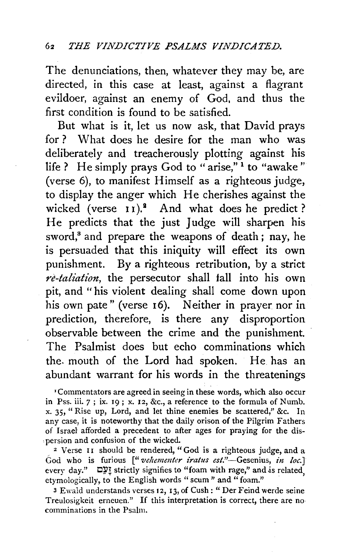The denunciations, then, whatever they may be, are directed, in this case at least, against a flagrant evildoer, against an enemy of God, and thus the first condition is found to be satisfied.

But what is it, let us now ask, that David prays for ? What does he desire for the man who was deliberately and treacherously plotting against his life ? He simply prays God to "arise,"<sup>1</sup> to "awake" (verse 6), to manifest Himself as a righteous judge, to display the anger which He cherishes against the wicked (verse 11).<sup>2</sup> And what does he predict? He predicts that the just Judge will sharpen his sword,<sup>8</sup> and prepare the weapons of death; nay, he is persuaded that this iniquity will effect its own punishment. By a righteous retribution, by a strict *re-taliation,* the persecutor shall fall into his own pit, and " his violent dealing shall come down upon his own pate" (verse 16). Neither in prayer nor in prediction, therefore, is there any disproportion observable between the crime and the punishment. The Psalmist does but echo comminations which the. mouth of the Lord had spoken. He has an abundant warrant for his words in the threatenings

'Commentators are agreed in seeing in these words, which also occur in Pss. iii. 7; ix. I9; x. 12, &c., a reference to the formula of Numb. x. 35, "Rise up, Lord, and let thine enemies be scattered," &c. In any case, it is noteworthy that the daily orison of the Pilgrim Fathers of Israel afforded a precedent to after ages for praying for the dis- • persion and confusion of the wicked. 2 Verse I I should be rendered, " God is a righteous judge, and a

God who is furious ["*veltementer iratus est.*"-Gesenius, *in loc.*] every day."  $\square \Sigma$  strictly signifies to "foam with rage," and is related, etymologically, to the English words "scum" and "foam."

3 Ewald understands verses 12, I3, of Cush: "Der Feind werde seine Treulosigkeit erneuen." If this interpretation is correct, there are no comminations in the Psalm.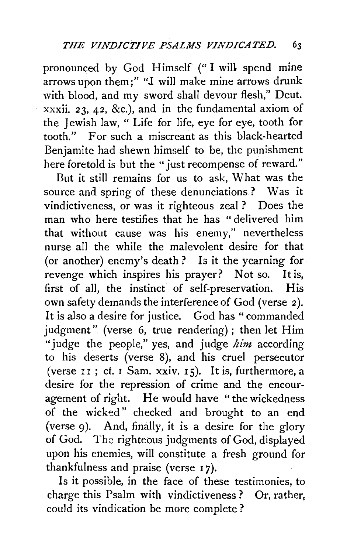pronounced by God Himself ("I will spend mine arrows upon them;" "J will make mine arrows drunk with blood, and my sword shall devour flesh," Deut. xxxii. 23, 42, &c.), and in the fundamental axiom of the Jewish law, " Life for life, eye for eye, tooth for<br>tooth " For such a miscreant as this black-hearted For such a miscreant as this black-hearted Benjamite had shewn himself to be, the punishment here foretold is but the "just recompense of reward."

But it still remains for us to ask, What was the source and spring of these denunciations? Was it vindictiveness, or was it righteous zeal ? Does the man who here testifies that he has "delivered him that without cause was his enemy," nevertheless nurse all the while the malevolent desire for that (or another) enemy's death? Is it the yearning for revenge which inspires his prayer? Not so. It is, first of all, the instinct of self-preservation. His own safety demands the interference of God (verse 2). It is also a desire for justice. God has "commanded judgment" (verse 6, true rendering) ; then let Him "judge the people," yes, and judge  $him$  according to his deserts (verse 8), and his cruel persecutor (verse  $11$ ; cf. I Sam. xxiv.  $15$ ). It is, furthermore, a desire for the repression of crime and the encouragement of right. He would have "the wickedness of the wicked" checked and brought to an end (verse 9). And, finally, it is a desire for the glory of God. The righteous judgments of God, displayed upon his enemies, will constitute a fresh ground for thankfulness and praise (verse 17).

Is it possible, in the face of these testimonies, to charge this Psalm with vindictiveness ? Or, rather, could its vindication be more complete ?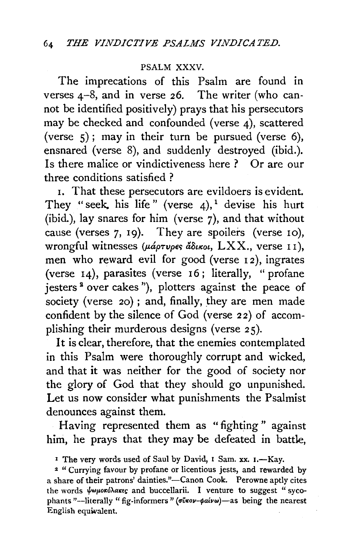## PSALM XXXV.

The imprecations of this Psalm are found in verses 4-8, and in verse 26. The writer (who cannot be identified positively) prays that his persecutors may be checked and confounded (verse 4), scattered (verse  $5$ ); may in their turn be pursued (verse 6), ensnared (verse 8), and suddenly destroyed (ibid.). Is there malice or vindictiveness here ? Or are our three conditions satisfied ?

1. That these persecutors are evildoers is evident. They "seek, his life" (verse  $4$ ), devise his hurt (ibid.), lay snares for him (verse 7), and that without cause (verses 7, 19). They are spoilers (verse 10), wrongful witnesses ( $\mu$ áptvpes á $\delta$ ikoi, LXX., verse 11), men who reward evil for good (verse I 2), ingrates (verse 14), parasites (verse 16; literally, "profane jesters<sup>2</sup> over cakes"), plotters against the peace of society (verse  $20$ ); and, finally, they are men made confident by the silence of God (verse 22) of accomplishing their murderous designs (verse 25).

It is clear, therefore, that the enemies contemplated in this Psalm were thoroughly corrupt and wicked, and that it was neither for the good of society nor the glory of God that they should go unpunished. Let us now consider what punishments the Psalmist denounces against them.

Having represented them as " fighting " against him, he prays that they may be defeated in battle,

<sup>1</sup> The very words used of Saul by David, I Sam. xx. I.—Kay.

<sup>2</sup> " Currying favour by profane or licentious jests, and rewarded by a share of their patrons' dainties."-Canon Cook. Perowne aptly cites the words  $\psi \omega \mu \omega \kappa \delta \lambda \alpha \kappa \epsilon$  and buccellarii. I venture to suggest " sycophants "-literally " fig-informers " ( $\vec{\sigma}$ *ivov-* $\phi$ *aivw*)-as being the nearest English equwalent.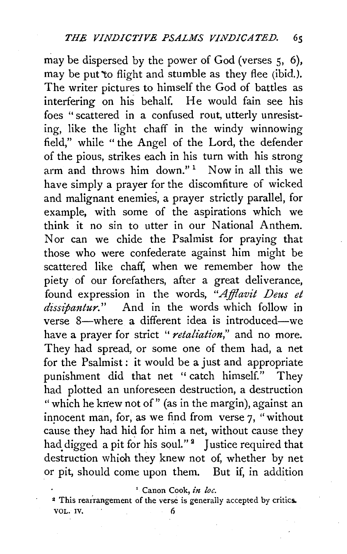may be dispersed by the power of God (verses 5, 6), may be put to flight and stumble as they flee (ibid.). The writer pictures to himself the God of battles as interfering on his behalf. He would fain see his foes "scattered in a confused rout, utterly unresisting, like the light chaff in the windy winnowing field," while " the Angel of the Lord, the defender of the pious, strikes each in his turn with his strong arm and throws him down."<sup>1</sup> Now in all this we have simply a prayer for the discomfiture of wicked and malignant enemies, a prayer strictly parallel, for example, with some of the aspirations which we think it no sin to utter in our National Anthem. Nor can we chide the Psalmist for praying that those who were confederate against him might be scattered like chaff, when we remember how the piety of our forefathers, after a great deliverance, found expression in the words, "Afflavit Deus et *dissipantur."* And in the words which follow in verse 8-where a different idea is introduced-we have a prayer for strict " *retaliation,"* and no more. They had spread, or some one of them had, a net for the Psalmist : it would be a just and appropriate punishment did that net "catch himself." They had plotted an unforeseen destruction, a destruction "which he knew not of" (as in the margin), against an inpocent man, for, as we find from verse 7, "without cause they had hid for him a net, without cause they had digged a pit for his soul."<sup>2</sup> Justice required that destruction which they knew not of, whether by net or pit, should come upon them. But if, in addition

<sup>1</sup> Canon Cook, in loc.

<sup>2</sup> This rearrangement of the verse is generally accepted by critics. VOL. IV.  $\qquad \qquad 6$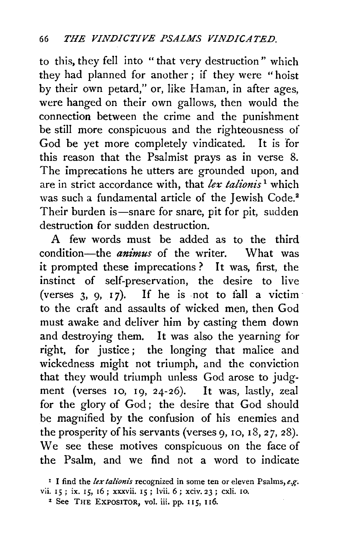to this, they fell into "that very destruction" which they had planned for another ; if they were " hoist by their own petard," or, like Haman, in after ages, were hanged on their own gallows, then would the connection between the crime and the punishment be still more conspicuous and the righteousness of God be yet more completely vindicated. It is for this reason that the Psalmist prays as in verse 8. The imprecations he utters are grounded upon, and are in strict accordance with, that *ler talionis* 1 which was such a fundamental article of the Jewish Code.<sup>2</sup> Their burden is—snare for snare, pit for pit, sudden destruction for sudden destruction.

A few words must be added as to the third condition-the *animus* of the writer. What was it prompted these imprecations ? It was, first, the instinct of self-preservation, the desire to live (verses 3, 9, 17). If he is not to fall a victim to the craft and assaults of wicked men, then God must awake and deliver him by casting them down and destroying them. It was also the yearning for right, for justice ; the longing that malice and wickedness might not triumph, and the conviction that they would triumph unless God arose to judgment (verses IO, I9, 24-26). It was, lastly, zeal for the glory of God; the desire that God should be magnified by the confusion of his enemies and the prosperity of his servants (verses  $9, 10, 18, 27, 28$ ). We see these motives conspicuous on the face of the Psalm, and we find not a word to indicate

<sup>&</sup>lt;sup>1</sup> I find the *lex talionis* recognized in some ten or eleven Psalms, *e.g.* vii. 15; ix. 15, 16; xxxvii. 15; lvii. 6; xciv. 23; cxli. 10.

<sup>2</sup> See THE EXPOSITOR, vol. iii. pp. II5, II6.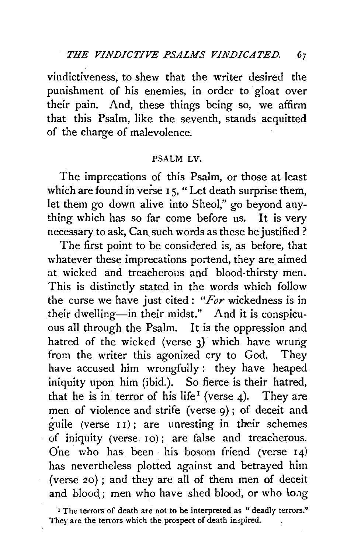vindictiveness, to shew that the writer desired the punishment of his enemies, in order to gloat over their pain. And, these things being so, we affirm that this Psalm, like the seventh, stands acquitted of the charge of malevolence.

## PSALM LV.

The imprecations of this Psalm, or those at least which are found in verse 15, "Let death surprise them, let them go down alive into Sheol," go beyond anything which has so far come before us. It is very necessary to ask, Can such words as these be justified ?

The first point to be considered is, as before, that whatever these imprecations portend, they are aimed at wicked and treacherous and blood-thirsty men. This is distinctly stated in the words which follow the curse we have just cited: *"For* wickedness is in their dwelling-in their midst." And it is conspicuous all through the Psalm. It is the oppression and hatred of the wicked (verse 3) which have wrung from the writer this agonized cry to God. They have accused him wrongfully: they have heaped iniquity upon him (ibid.). So fierce is their hatred, that he is in terror of his life<sup>1</sup> (verse 4). They are men of violence and strife (verse 9); of deceit and guile (verse  $I1$ ); are unresting in their schemes of iniquity (verse. 10); are false and treacherous. O'ne. who has been his bosom friend (verse 14) has nevertheless plotted against and betrayed him (verse 20); and they are all of them men of deceit and blood: men who have shed blood, or who long

<sup>I</sup> The terrors of death are not to be interpreted as "deadly terrors." They are the terrors which the prospect of death inspired.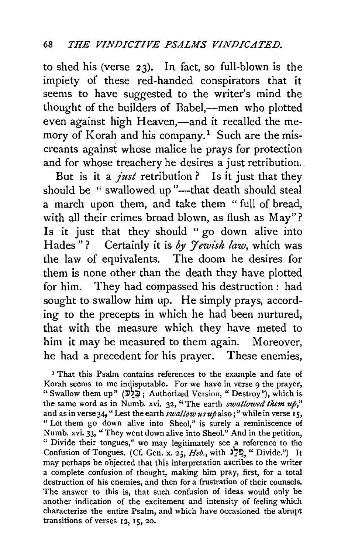to shed his (verse 23). In fact, so full-blown is the impiety of these red-handed conspirators that it seems to have suggested to the writer's mind the thought of the builders of Babel,—men who plotted even against high Heaven,—and it recalled the memory of Korah and his company.<sup>1</sup> Such are the miscreants against whose malice he prays for protection and for whose treachery he desires a just retribution.

But is it a *just* retribution ? Is it just that they should be " swallowed up "---that death should steal a march upon them, and take them " full of bread, with all their crimes broad blown, as flush as May"? Is it just that they should " go down alive into Hades"? Certainly it is by *Jewish law*, which was the law of equivalents. The doom he desires for them is none other than the death they have plotted for him. They had compassed his destruction : had sought to swallow him up. He simply prays, according to the precepts in which he had been nurtured, that with the measure which they have meted to him it may be measured to them again. Moreover, he had a precedent for his prayer. These enemies,

<sup>1</sup> That this Psalm contains references to the example and fate of Korah seems to me indisputable. For we have in verse 9 the prayer, "Swallow them up" (בַּלֵּע Authorized Version, "Destroy"), which is the same word as in Numb. xvi. 32, "The earth *swallowed them up,"*  and as in verse 34, "Lest the earth *swallow us up* also;" while in verse 15, " Let them go down alive into Sheol," is surely a reminiscence of Numb. xvi. 33, "They went down alive into Sheol." And in the petition, " Divide their tongues," we may legitimately see a reference to the Confusion of Tongues. (Cf. Gen. x. 25, *Heb.,* with )?~,"Divide.") It may perhaps be objected that this interpretation ascribes to the writer a complete confusion of thought, making him pray, first, for a total destruction of his enemies, and then for a frustration of their counsels. The answer to this is, that such confusion of ideas would only be another indication of the excitement and intensity of feeling which characterize the entire Psalm, and which have occasioned the abrupt transitions of verses  $12$ ,  $15$ ,  $20$ .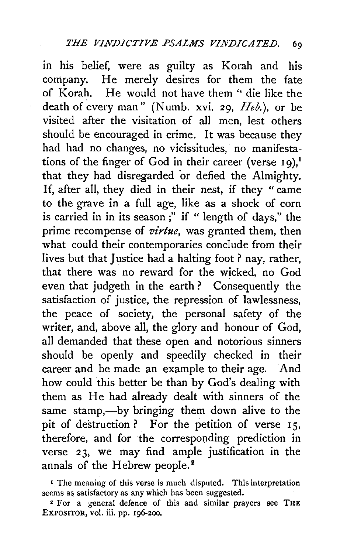in his belief, were as guilty as Korah and his company. He merely desires for them the fate of Korah. He would not have them" die like the death of every man" (Numb. xvi. 29,  $Heb$ .), or be visited after the visitation of all men, lest others should be encouraged in crime. It was because they had had no changes, no vicissitudes, no manifestations of the finger of God in their career (verse  $19$ ).<sup>1</sup> that they had disregarded 'or defied the Almighty. If, after all, they died in their nest, if they " came to the grave in a full age, like as a shock of corn is carried in in its season ;" if " length of days," the prime recompense of *virtue*, was granted them, then what could their contemporaries conclude from their lives but that Justice had a halting foot ? nay, rather, that there was no reward for the wicked, no God even that judgeth in the earth? Consequently the satisfaction of justice, the repression of lawlessness, the peace of society, the personal safety of the writer, and, above all, the glory and honour of God, all demanded that these open and notorious sinners should be openly and speedily checked in their career and be made an example to their age. And how could this better be than by God's dealing with them as He had already dealt with sinners of the same stamp,—by bringing them down alive to the pit of destruction? For the petition of verse  $15$ , therefore, and for the corresponding prediction in verse 23, we may find ample justification in the annals of the Hebrew people.<sup>8</sup>

<sup>&</sup>lt;sup>1</sup> The meaning of this verse is much disputed. This interpretation seems as satisfactory as any which has been suggested.

*z* For a general defence of this and similar prayers see THE EXPOSITOR, vol. iii. pp. 196-200.